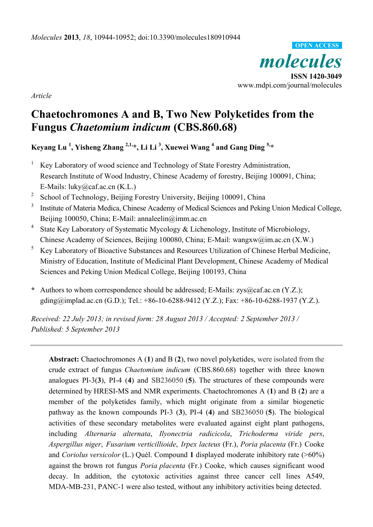*molecules*  **ISSN 1420-3049**  www.mdpi.com/journal/molecules **OPEN ACCESS**

*Article* 

# **Chaetochromones A and B, Two New Polyketides from the Fungus** *Chaetomium indicum* **(CBS.860.68)**

**Keyang Lu 1 , Yisheng Zhang 2,1,\*, Li Li 3 , Xuewei Wang 4 and Gang Ding 5,\*** 

- 1 Key Laboratory of wood science and Technology of State Forestry Administration, Research Institute of Wood Industry, Chinese Academy of forestry, Beijing 100091, China; E-Mails: luky@caf.ac.cn (K.L.)
- 2 School of Technology, Beijing Forestry University, Beijing 100091, China
- 3 Institute of Materia Medica, Chinese Academy of Medical Sciences and Peking Union Medical College, Beijing 100050, China; E-Mail: annaleelin@imm.ac.cn
- 4 State Key Laboratory of Systematic Mycology & Lichenology, Institute of Microbiology, Chinese Academy of Sciences, Beijing 100080, China; E-Mail: wangxw@im.ac.cn (X.W.)
- 5 Key Laboratory of Bioactive Substances and Resources Utilization of Chinese Herbal Medicine, Ministry of Education, Institute of Medicinal Plant Development, Chinese Academy of Medical Sciences and Peking Union Medical College, Beijing 100193, China
- **\*** Authors to whom correspondence should be addressed; E-Mails: zys@caf.ac.cn (Y.Z.); gding@implad.ac.cn (G.D.); Tel.: +86-10-6288-9412 (Y.Z.); Fax: +86-10-6288-1937 (Y.Z.).

*Received: 22 July 2013; in revised form: 28 August 2013 / Accepted: 2 September 2013 / Published: 5 September 2013* 

**Abstract:** Chaetochromones A (**1**) and B (**2**), two novel polyketides, were isolated from the crude extract of fungus *Chaetomium indicum* (CBS.860.68) together with three known analogues PI-3(**3**), PI-4 (**4**) and SB236050 (**5**). The structures of these compounds were determined by HRESI-MS and NMR experiments. Chaetochromones A (**1**) and B (**2**) are a member of the polyketides family, which might originate from a similar biogenetic pathway as the known compounds PI-3 (**3**), PI-4 (**4**) and SB236050 (**5**). The biological activities of these secondary metabolites were evaluated against eight plant pathogens, including *Alternaria alternata*, *Ilyonectria radicicola*, *Trichoderma viride pers*, *Aspergillus niger*, *Fusarium verticillioide*, *Irpex lacteus* (Fr.), *Poria placenta* (Fr.) Cooke and *Coriolus versicolor* (L.) Quél. Compound **1** displayed moderate inhibitory rate (>60%) against the brown rot fungus *Poria placenta* (Fr.) Cooke, which causes significant wood decay. In addition, the cytotoxic activities against three cancer cell lines A549, MDA-MB-231, PANC-1 were also tested, without any inhibitory activities being detected.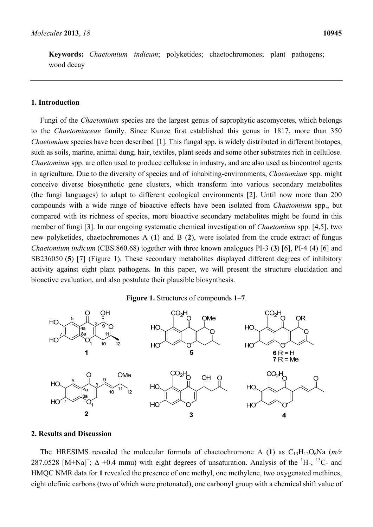**Keywords:** *Chaetomium indicum*; polyketides; chaetochromones; plant pathogens; wood decay

## **1. Introduction**

Fungi of the *Chaetomium* species are the largest genus of saprophytic ascomycetes, which belongs to the *Chaetomiaceae* family. Since Kunze first established this genus in 1817, more than 350 *Chaetomium* species have been described [1]. This fungal spp. is widely distributed in different biotopes, such as soils, marine, animal dung, hair, textiles, plant seeds and some other substrates rich in cellulose. *Chaetomium* spp. are often used to produce cellulose in industry, and are also used as biocontrol agents in agriculture. Due to the diversity of species and of inhabiting-environments, *Chaetomium* spp. might conceive diverse biosynthetic gene clusters, which transform into various secondary metabolites (the fungi languages) to adapt to different ecological environments [2]. Until now more than 200 compounds with a wide range of bioactive effects have been isolated from *Chaetomium* spp., but compared with its richness of species, more bioactive secondary metabolites might be found in this member of fungi [3]. In our ongoing systematic chemical investigation of *Chaetomium* spp. [4,5], two new polyketides, chaetochromones A (**1**) and B (**2**), were isolated from the crude extract of fungus *Chaetomium indicum* (CBS.860.68) together with three known analogues PI-3 (**3**) [6], PI-4 (**4**) [6] and SB236050 (**5**) [7] (Figure 1). These secondary metabolites displayed different degrees of inhibitory activity against eight plant pathogens. In this paper, we will present the structure elucidation and bioactive evaluation, and also postulate their plausible biosynthesis.

## **Figure 1.** Structures of compounds **1**–**7**.



#### **2. Results and Discussion**

The HRESIMS revealed the molecular formula of chaetochromone A (1) as  $C_{13}H_{12}O_6Na$  ( $m/z$ ) 287.0528 [M+Na]<sup>+</sup>;  $\Delta$  +0.4 mmu) with eight degrees of unsaturation. Analysis of the <sup>1</sup>H-, <sup>13</sup>C- and HMQC NMR data for **1** revealed the presence of one methyl, one methylene, two oxygenated methines, eight olefinic carbons (two of which were protonated), one carbonyl group with a chemical shift value of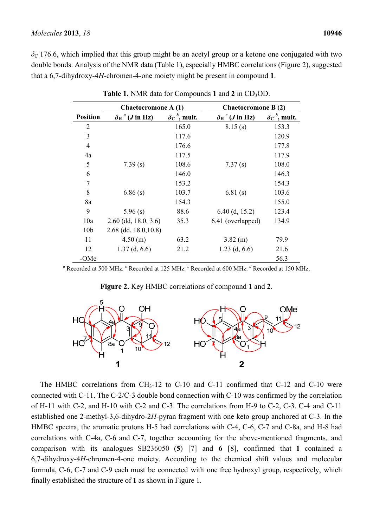$\delta$ <sub>C</sub> 176.6, which implied that this group might be an acetyl group or a ketone one conjugated with two double bonds. Analysis of the NMR data (Table 1), especially HMBC correlations (Figure 2), suggested that a 6,7-dihydroxy-4*H*-chromen-4-one moiety might be present in compound **1**.

|                 | Chaetocromone A (1)                        |                                            | <b>Chaetocromone B (2)</b>                          |                                            |  |
|-----------------|--------------------------------------------|--------------------------------------------|-----------------------------------------------------|--------------------------------------------|--|
| <b>Position</b> | $\delta_{\rm H}^{\ \ a}$ ( <i>J</i> in Hz) | $\delta$ <sub>C</sub> <sup>b</sup> , mult. | $\delta_{\rm H}^{\;\;\:c}(J\,{\rm in}\,\,{\rm Hz})$ | $\delta$ <sub>C</sub> <sup>b</sup> , mult. |  |
| $\overline{2}$  |                                            | 165.0                                      | 8.15(s)                                             | 153.3                                      |  |
| 3               |                                            | 117.6                                      |                                                     | 120.9                                      |  |
| $\overline{4}$  |                                            | 176.6                                      |                                                     | 177.8                                      |  |
| 4a              |                                            | 117.5                                      |                                                     | 117.9                                      |  |
| 5               | 7.39(s)                                    | 108.6                                      | 7.37(s)                                             | 108.0                                      |  |
| 6               |                                            | 146.0                                      |                                                     | 146.3                                      |  |
| 7               |                                            | 153.2                                      |                                                     | 154.3                                      |  |
| 8               | 6.86(s)                                    | 103.7                                      | 6.81(s)                                             | 103.6                                      |  |
| 8a              |                                            | 154.3                                      |                                                     | 155.0                                      |  |
| 9               | 5.96(s)                                    | 88.6                                       | $6.40$ (d, 15.2)                                    | 123.4                                      |  |
| 10a             | $2.60$ (dd, 18.0, 3.6)                     | 35.3                                       | 6.41 (overlapped)                                   | 134.9                                      |  |
| 10 <sub>b</sub> | $2.68$ (dd, $18.0, 10.8$ )                 |                                            |                                                     |                                            |  |
| 11              | 4.50(m)                                    | 63.2                                       | $3.82$ (m)                                          | 79.9                                       |  |
| 12              | $1.37$ (d, 6.6)                            | 21.2                                       | $1.23$ (d, 6.6)                                     | 21.6                                       |  |
| -OMe            |                                            |                                            |                                                     | 56.3                                       |  |

**Table 1.** NMR data for Compounds 1 and 2 in CD<sub>3</sub>OD.

<sup>*a*</sup> Recorded at 500 MHz. <sup>*b*</sup> Recorded at 125 MHz. <sup>*c*</sup> Recorded at 600 MHz. <sup>*d*</sup> Recorded at 150 MHz.



**Figure 2.** Key HMBC correlations of compound **1** and **2**.

The HMBC correlations from CH<sub>3</sub>-12 to C-10 and C-11 confirmed that C-12 and C-10 were connected with C-11. The C-2/C-3 double bond connection with C-10 was confirmed by the correlation of H-11 with C-2, and H-10 with C-2 and C-3. The correlations from H-9 to C-2, C-3, C-4 and C-11 established one 2-methyl-3,6-dihydro-2*H*-pyran fragment with one keto group anchored at C-3. In the HMBC spectra, the aromatic protons H-5 had correlations with C-4, C-6, C-7 and C-8a, and H-8 had correlations with C-4a, C-6 and C-7, together accounting for the above-mentioned fragments, and comparison with its analogues SB236050 (**5**) [7] and **6** [8], confirmed that **1** contained a 6,7-dihydroxy-4*H*-chromen-4-one moiety. According to the chemical shift values and molecular formula, C-6, C-7 and C-9 each must be connected with one free hydroxyl group, respectively, which finally established the structure of **1** as shown in Figure 1.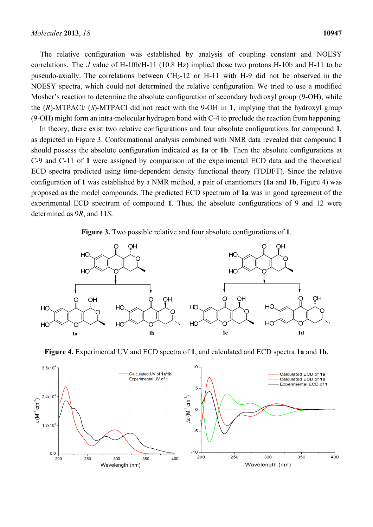The relative configuration was established by analysis of coupling constant and NOESY correlations. The *J* value of H-10b/H-11 (10.8 Hz) implied those two protons H-10b and H-11 to be puseudo-axially. The correlations between  $CH_3-12$  or H-11 with H-9 did not be observed in the NOESY spectra, which could not determined the relative configuration. We tried to use a modified Mosher's reaction to determine the absolute configuration of secondary hydroxyl group (9-OH), while the (*R*)-MTPACl/ (*S*)-MTPACl did not react with the 9-OH in **1**, implying that the hydroxyl group (9-OH) might form an intra-molecular hydrogen bond with C-4 to preclude the reaction from happening.

In theory, there exist two relative configurations and four absolute configurations for compound **1**, as depicted in Figure 3. Conformational analysis combined with NMR data revealed that compound **1** should possess the absolute configuration indicated as **1a** or **1b**. Then the absolute configurations at C-9 and C-11 of **1** were assigned by comparison of the experimental ECD data and the theoretical ECD spectra predicted using time-dependent density functional theory (TDDFT). Since the relative configuration of **1** was established by a NMR method, a pair of enantiomers (**1a** and **1b**, Figure 4) was proposed as the model compounds. The predicted ECD spectrum of **1a** was in good agreement of the experimental ECD spectrum of compound **1**. Thus, the absolute configurations of 9 and 12 were determined as 9*R*, and 11*S*.

**Figure 3.** Two possible relative and four absolute configurations of **1**.



**Figure 4.** Experimental UV and ECD spectra of **1**, and calculated and ECD spectra **1a** and **1b**.

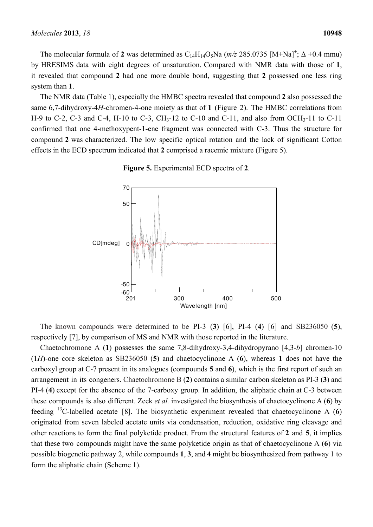The molecular formula of 2 was determined as  $C_{14}H_{14}O_5$ Na ( $m/z$  285.0735 [M+Na]<sup>+</sup>;  $\Delta$  +0.4 mmu) by HRESIMS data with eight degrees of unsaturation. Compared with NMR data with those of **1**, it revealed that compound **2** had one more double bond, suggesting that **2** possessed one less ring system than **1**.

The NMR data (Table 1), especially the HMBC spectra revealed that compound **2** also possessed the same 6,7-dihydroxy-4*H*-chromen-4-one moiety as that of **1** (Figure 2). The HMBC correlations from H-9 to C-2, C-3 and C-4, H-10 to C-3, CH<sub>3</sub>-12 to C-10 and C-11, and also from OCH<sub>3</sub>-11 to C-11 confirmed that one 4-methoxypent-1-ene fragment was connected with C-3. Thus the structure for compound **2** was characterized. The low specific optical rotation and the lack of significant Cotton effects in the ECD spectrum indicated that **2** comprised a racemic mixture (Figure 5).



**Figure 5.** Experimental ECD spectra of **2**.

The known compounds were determined to be PI-3 (**3**) [6], PI-4 (**4**) [6] and SB236050 (**5**), respectively [7], by comparison of MS and NMR with those reported in the literature.

Chaetochromone A (**1**) possesses the same 7,8-dihydroxy-3,4-dihydropyrano [4,3-*b*] chromen-10 (1*H*)-one core skeleton as SB236050 (**5**) and chaetocyclinone A (**6**), whereas **1** does not have the carboxyl group at C-7 present in its analogues (compounds **5** and **6**), which is the first report of such an arrangement in its congeners. Chaetochromone B (**2**) contains a similar carbon skeleton as PI-3 (**3**) and PI-4 (**4**) except for the absence of the 7-carboxy group. In addition, the aliphatic chain at C-3 between these compounds is also different. Zeek *et al.* investigated the biosynthesis of chaetocyclinone A (**6**) by feeding 13C-labelled acetate [8]. The biosynthetic experiment revealed that chaetocyclinone A (**6**) originated from seven labeled acetate units via condensation, reduction, oxidative ring cleavage and other reactions to form the final polyketide product. From the structural features of **2** and **5**, it implies that these two compounds might have the same polyketide origin as that of chaetocyclinone A (**6**) via possible biogenetic pathway 2, while compounds **1**, **3**, and **4** might be biosynthesized from pathway 1 to form the aliphatic chain (Scheme 1).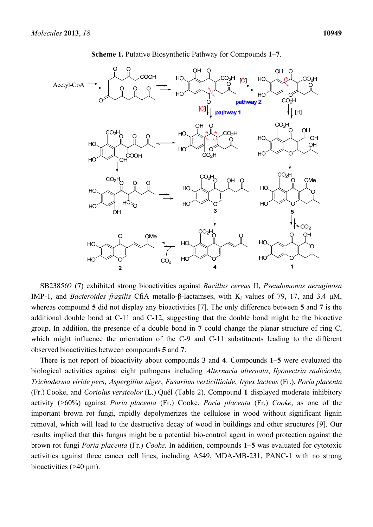

**Scheme 1.** Putative Biosynthetic Pathway for Compounds **1**–**7**.

SB238569 (**7**) exhibited strong bioactivities against *Bacillus cereus* II, *Pseudomonas aeruginosa* IMP-1, and *Bacteroides fragilis* CfiA metallo-β-lactamses, with K*i* values of 79, 17, and 3.4 μM, whereas compound **5** did not display any bioactivities [7]. The only difference between **5** and **7** is the additional double bond at C-11 and C-12, suggesting that the double bond might be the bioactive group. In addition, the presence of a double bond in **7** could change the planar structure of ring C, which might influence the orientation of the C-9 and C-11 substituents leading to the different observed bioactivities between compounds **5** and **7**.

There is not report of bioactivity about compounds **3** and **4**. Compounds **1**–**5** were evaluated the biological activities against eight pathogens including *Alternaria alternata*, *Ilyonectria radicicola*, *Trichoderma viride pers*, *Aspergillus niger*, *Fusarium verticillioide*, *Irpex lacteus* (Fr.), *Poria placenta* (Fr.) Cooke, and *Coriolus versicolor* (L.) Quél (Table 2). Compound **1** displayed moderate inhibitory activity (>60%) against *Poria placenta* (Fr.) Cooke. *Poria placenta* (Fr.) *Cooke*, as one of the important brown rot fungi, rapidly depolymerizes the cellulose in wood without significant lignin removal, which will lead to the destructive decay of wood in buildings and other structures [9]. Our results implied that this fungus might be a potential bio-control agent in wood protection against the brown rot fungi *Poria placenta* (Fr.) *Cooke*. In addition, compounds **1**–**5** was evaluated for cytotoxic activities against three cancer cell lines, including A549, MDA-MB-231, PANC-1 with no strong bioactivities  $($ >40  $\mu$ m).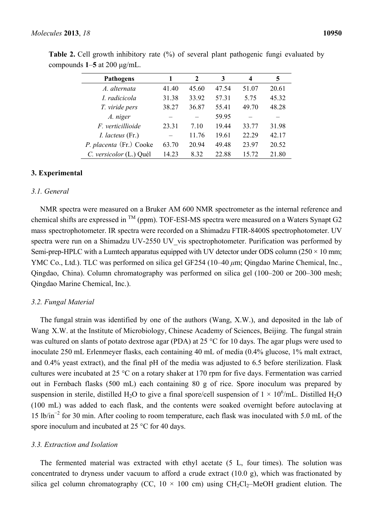| <b>Pathogens</b>        |       | 2     | 3     | 4     | 5     |
|-------------------------|-------|-------|-------|-------|-------|
| A. alternata            | 41.40 | 45.60 | 47.54 | 51.07 | 20.61 |
| I. radicicola           | 31.38 | 33.92 | 57.31 | 5.75  | 45.32 |
| T. viride pers          | 38.27 | 36.87 | 55.41 | 49.70 | 48.28 |
| A. niger                |       |       | 59.95 |       |       |
| F. verticillioide       | 23.31 | 7.10  | 19.44 | 33.77 | 31.98 |
| $I.$ lacteus $(Fr.)$    |       | 11.76 | 19.61 | 22.29 | 42.17 |
| P. placenta (Fr.) Cooke | 63.70 | 20.94 | 49.48 | 23.97 | 20.52 |
| C. versicolor (L.) Quél | 14.23 | 8.32  | 22.88 | 15.72 | 21.80 |

**Table 2.** Cell growth inhibitory rate (%) of several plant pathogenic fungi evaluated by compounds **1**–**5** at 200 μg/mL.

## **3. Experimental**

#### *3.1. General*

NMR spectra were measured on a Bruker AM 600 NMR spectrometer as the internal reference and chemical shifts are expressed in  $^{TM}$  (ppm). TOF-ESI-MS spectra were measured on a Waters Synapt G2 mass spectrophotometer. IR spectra were recorded on a Shimadzu FTIR-8400S spectrophotometer. UV spectra were run on a Shimadzu UV-2550 UV vis spectrophotometer. Purification was performed by Semi-prep-HPLC with a Lumtech apparatus equipped with UV detector under ODS column ( $250 \times 10$  mm; YMC Co., Ltd.). TLC was performed on silica gel GF254 (10–40 *μ*m; Qingdao Marine Chemical, Inc., Qingdao, China). Column chromatography was performed on silica gel (100–200 or 200–300 mesh; Qingdao Marine Chemical, Inc.).

#### *3.2. Fungal Material*

The fungal strain was identified by one of the authors (Wang, X.W.), and deposited in the lab of Wang X.W. at the Institute of Microbiology, Chinese Academy of Sciences, Beijing. The fungal strain was cultured on slants of potato dextrose agar (PDA) at 25 °C for 10 days. The agar plugs were used to inoculate 250 mL Erlenmeyer flasks, each containing 40 mL of media (0.4% glucose, 1% malt extract, and 0.4% yeast extract), and the final pH of the media was adjusted to 6.5 before sterilization. Flask cultures were incubated at 25 °C on a rotary shaker at 170 rpm for five days. Fermentation was carried out in Fernbach flasks (500 mL) each containing 80 g of rice. Spore inoculum was prepared by suspension in sterile, distilled H<sub>2</sub>O to give a final spore/cell suspension of  $1 \times 10^6$ /mL. Distilled H<sub>2</sub>O (100 mL) was added to each flask, and the contents were soaked overnight before autoclaving at 15 lb/in<sup>−</sup><sup>2</sup> for 30 min. After cooling to room temperature, each flask was inoculated with 5.0 mL of the spore inoculum and incubated at 25 °C for 40 days.

#### *3.3. Extraction and Isolation*

The fermented material was extracted with ethyl acetate (5 L, four times). The solution was concentrated to dryness under vacuum to afford a crude extract (10.0 g), which was fractionated by silica gel column chromatography (CC,  $10 \times 100$  cm) using CH<sub>2</sub>Cl<sub>2</sub>–MeOH gradient elution. The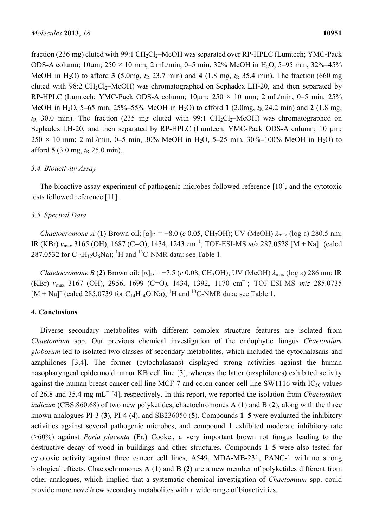fraction (236 mg) eluted with 99:1  $CH_2Cl_2$ –MeOH was separated over RP-HPLC (Lumtech; YMC-Pack ODS-A column; 10μm;  $250 \times 10$  mm; 2 mL/min, 0–5 min, 32% MeOH in H<sub>2</sub>O, 5–95 min, 32%–45% MeOH in H<sub>2</sub>O) to afford **3** (5.0mg,  $t_R$  23.7 min) and **4** (1.8 mg,  $t_R$  35.4 min). The fraction (660 mg eluted with  $98:2 \text{ CH}_2\text{Cl}_2$ –MeOH) was chromatographed on Sephadex LH-20, and then separated by RP-HPLC (Lumtech; YMC-Pack ODS-A column;  $10\mu$ m;  $250 \times 10$  mm; 2 mL/min, 0–5 min, 25% MeOH in H<sub>2</sub>O, 5–65 min, 25%–55% MeOH in H<sub>2</sub>O) to afford 1 (2.0mg,  $t<sub>R</sub>$  24.2 min) and 2 (1.8 mg,  $t<sub>R</sub>$  30.0 min). The fraction (235 mg eluted with 99:1 CH<sub>2</sub>Cl<sub>2</sub>–MeOH) was chromatographed on Sephadex LH-20, and then separated by RP-HPLC (Lumtech; YMC-Pack ODS-A column; 10 μm;  $250 \times 10$  mm; 2 mL/min, 0–5 min, 30% MeOH in H<sub>2</sub>O, 5–25 min, 30%–100% MeOH in H<sub>2</sub>O) to afford  $5(3.0 \text{ mg}, t_R 25.0 \text{ min})$ .

## *3.4. Bioactivity Assay*

The bioactive assay experiment of pathogenic microbes followed reference [10], and the cytotoxic tests followed reference [11].

## *3.5. Spectral Data*

*Chaetocromone A* (1) Brown oil;  $\lbrack \alpha \rbrack_D = -8.0$  (*c* 0.05, CH<sub>3</sub>OH); UV (MeOH)  $\lambda_{\text{max}}$  (log ε) 280.5 nm; IR (KBr) *v*<sub>max</sub> 3165 (OH), 1687 (C=O), 1434, 1243 cm<sup>-1</sup>; TOF-ESI-MS *m/z* 287.0528 [M + Na]<sup>+</sup> (calcd 287.0532 for  $C_{13}H_{12}O_6$ Na); <sup>1</sup>H and <sup>13</sup>C-NMR data: see Table 1.

*Chaetocromone B* (2) Brown oil;  $\lbrack \alpha \rbrack_D = -7.5$  (*c* 0.08, CH<sub>3</sub>OH); UV (MeOH)  $\lambda_{\text{max}}$  (log  $\varepsilon$ ) 286 nm; IR (KBr) *ν*max 3167 (OH), 2956, 1699 (C=O), 1434, 1392, 1170 cm<sup>−</sup><sup>1</sup> ; TOF-ESI-MS *m*/*z* 285.0735  $[M + Na]^{+}$  (calcd 285.0739 for C<sub>14</sub>H<sub>14</sub>O<sub>5</sub>Na); <sup>1</sup>H and <sup>13</sup>C-NMR data: see Table 1.

# **4. Conclusions**

Diverse secondary metabolites with different complex structure features are isolated from *Chaetomium* spp. Our previous chemical investigation of the endophytic fungus *Chaetomium globosum* led to isolated two classes of secondary metabolites, which included the cytochalasans and azaphilones [3,4]. The former (cytochalasans) displayed strong activities against the human nasopharyngeal epidermoid tumor KB cell line [3], whereas the latter (azaphilones) exhibited activity against the human breast cancer cell line MCF-7 and colon cancer cell line SW1116 with  $IC_{50}$  values of 26.8 and 35.4 mg mL<sup>−</sup><sup>1</sup> [4], respectively. In this report, we reported the isolation from *Chaetomium indicum* (CBS.860.68) of two new polyketides, chaetochromones A (**1**) and B (**2**), along with the three known analogues PI-3 (**3**), PI-4 (**4**), and SB236050 (**5**). Compounds **1**–**5** were evaluated the inhibitory activities against several pathogenic microbes, and compound **1** exhibited moderate inhibitory rate (>60%) against *Poria placenta* (Fr.) Cooke., a very important brown rot fungus leading to the destructive decay of wood in buildings and other structures. Compounds **1**–**5** were also tested for cytotoxic activity against three cancer cell lines, A549, MDA-MB-231, PANC-1 with no strong biological effects. Chaetochromones A (**1**) and B (**2**) are a new member of polyketides different from other analogues, which implied that a systematic chemical investigation of *Chaetomium* spp. could provide more novel/new secondary metabolites with a wide range of bioactivities.